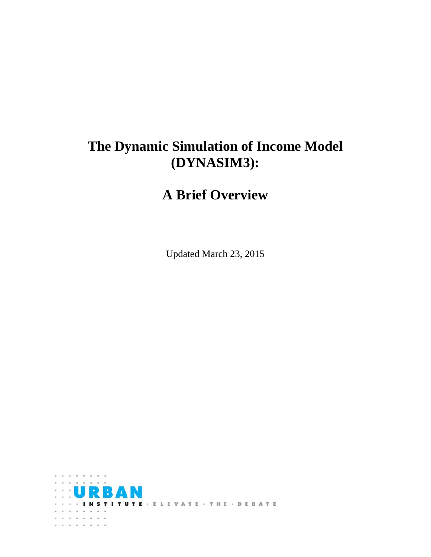# **The Dynamic Simulation of Income Model (DYNASIM3):**

# **A Brief Overview**

Updated March 23, 2015

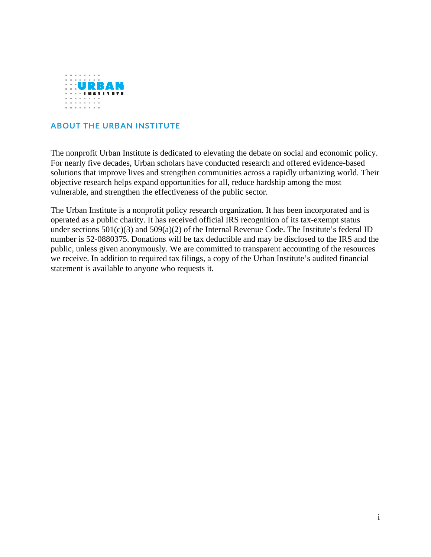

#### **ABOUT THE URBAN INSTITUTE**

The nonprofit Urban Institute is dedicated to elevating the debate on social and economic policy. For nearly five decades, Urban scholars have conducted research and offered evidence-based solutions that improve lives and strengthen communities across a rapidly urbanizing world. Their objective research helps expand opportunities for all, reduce hardship among the most vulnerable, and strengthen the effectiveness of the public sector.

The Urban Institute is a nonprofit policy research organization. It has been incorporated and is operated as a public charity. It has received official IRS recognition of its tax-exempt status under sections  $501(c)(3)$  and  $509(a)(2)$  of the Internal Revenue Code. The Institute's federal ID number is 52-0880375. Donations will be tax deductible and may be disclosed to the IRS and the public, unless given anonymously. We are committed to transparent accounting of the resources we receive. In addition to required tax filings, a copy of the Urban Institute's audited financial statement is available to anyone who requests it.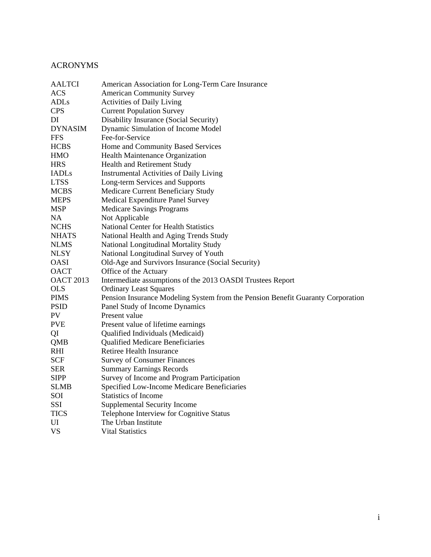### ACRONYMS

| <b>AALTCI</b>    | American Association for Long-Term Care Insurance                               |  |  |
|------------------|---------------------------------------------------------------------------------|--|--|
| <b>ACS</b>       | <b>American Community Survey</b>                                                |  |  |
| <b>ADLs</b>      | Activities of Daily Living                                                      |  |  |
| <b>CPS</b>       | <b>Current Population Survey</b>                                                |  |  |
| DI               | Disability Insurance (Social Security)                                          |  |  |
| <b>DYNASIM</b>   | Dynamic Simulation of Income Model                                              |  |  |
| <b>FFS</b>       | Fee-for-Service                                                                 |  |  |
| <b>HCBS</b>      | Home and Community Based Services                                               |  |  |
| <b>HMO</b>       | Health Maintenance Organization                                                 |  |  |
| <b>HRS</b>       | Health and Retirement Study                                                     |  |  |
| <b>IADLs</b>     | Instrumental Activities of Daily Living                                         |  |  |
| <b>LTSS</b>      | Long-term Services and Supports                                                 |  |  |
| <b>MCBS</b>      | Medicare Current Beneficiary Study                                              |  |  |
| <b>MEPS</b>      | Medical Expenditure Panel Survey                                                |  |  |
| <b>MSP</b>       | <b>Medicare Savings Programs</b>                                                |  |  |
| NA               | Not Applicable                                                                  |  |  |
| <b>NCHS</b>      | <b>National Center for Health Statistics</b>                                    |  |  |
| <b>NHATS</b>     | National Health and Aging Trends Study                                          |  |  |
| <b>NLMS</b>      | National Longitudinal Mortality Study                                           |  |  |
| <b>NLSY</b>      | National Longitudinal Survey of Youth                                           |  |  |
| <b>OASI</b>      | Old-Age and Survivors Insurance (Social Security)                               |  |  |
| <b>OACT</b>      | Office of the Actuary                                                           |  |  |
| <b>OACT 2013</b> | Intermediate assumptions of the 2013 OASDI Trustees Report                      |  |  |
| <b>OLS</b>       | <b>Ordinary Least Squares</b>                                                   |  |  |
| <b>PIMS</b>      | Pension Insurance Modeling System from the Pension Benefit Guaranty Corporation |  |  |
| <b>PSID</b>      | Panel Study of Income Dynamics                                                  |  |  |
| PV               | Present value                                                                   |  |  |
| <b>PVE</b>       | Present value of lifetime earnings                                              |  |  |
| QI               | Qualified Individuals (Medicaid)                                                |  |  |
| QMB              | <b>Qualified Medicare Beneficiaries</b>                                         |  |  |
| RHI              | Retiree Health Insurance                                                        |  |  |
| <b>SCF</b>       | <b>Survey of Consumer Finances</b>                                              |  |  |
| <b>SER</b>       | <b>Summary Earnings Records</b>                                                 |  |  |
| <b>SIPP</b>      | Survey of Income and Program Participation                                      |  |  |
| <b>SLMB</b>      | Specified Low-Income Medicare Beneficiaries                                     |  |  |
| SOI              | <b>Statistics of Income</b>                                                     |  |  |
| SSI              | <b>Supplemental Security Income</b>                                             |  |  |
| <b>TICS</b>      | Telephone Interview for Cognitive Status                                        |  |  |
| UI               | The Urban Institute                                                             |  |  |
| <b>VS</b>        | <b>Vital Statistics</b>                                                         |  |  |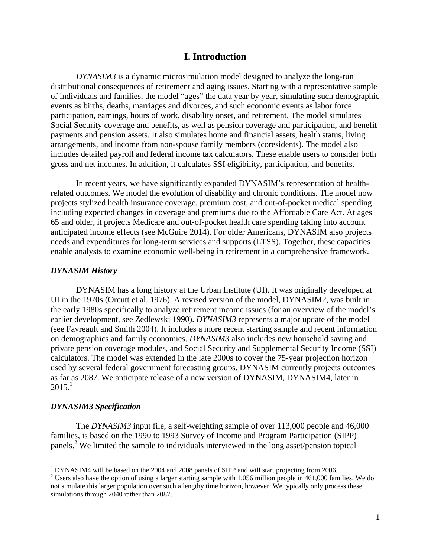#### **I. Introduction**

*DYNASIM3* is a dynamic microsimulation model designed to analyze the long-run distributional consequences of retirement and aging issues. Starting with a representative sample of individuals and families, the model "ages" the data year by year, simulating such demographic events as births, deaths, marriages and divorces, and such economic events as labor force participation, earnings, hours of work, disability onset, and retirement. The model simulates Social Security coverage and benefits, as well as pension coverage and participation, and benefit payments and pension assets. It also simulates home and financial assets, health status, living arrangements, and income from non-spouse family members (coresidents). The model also includes detailed payroll and federal income tax calculators. These enable users to consider both gross and net incomes. In addition, it calculates SSI eligibility, participation, and benefits.

In recent years, we have significantly expanded DYNASIM's representation of healthrelated outcomes. We model the evolution of disability and chronic conditions. The model now projects stylized health insurance coverage, premium cost, and out-of-pocket medical spending including expected changes in coverage and premiums due to the Affordable Care Act. At ages 65 and older, it projects Medicare and out-of-pocket health care spending taking into account anticipated income effects (see McGuire 2014). For older Americans, DYNASIM also projects needs and expenditures for long-term services and supports (LTSS). Together, these capacities enable analysts to examine economic well-being in retirement in a comprehensive framework.

#### *DYNASIM History*

DYNASIM has a long history at the Urban Institute (UI). It was originally developed at UI in the 1970s (Orcutt et al. 1976). A revised version of the model, DYNASIM2, was built in the early 1980s specifically to analyze retirement income issues (for an overview of the model's earlier development, see Zedlewski 1990). *DYNASIM3* represents a major update of the model (see Favreault and Smith 2004). It includes a more recent starting sample and recent information on demographics and family economics. *DYNASIM3* also includes new household saving and private pension coverage modules, and Social Security and Supplemental Security Income (SSI) calculators. The model was extended in the late 2000s to cover the 75-year projection horizon used by several federal government forecasting groups. DYNASIM currently projects outcomes as far as 2087. We anticipate release of a new version of DYNASIM, DYNASIM4, later in  $2015.<sup>1</sup>$ 

#### *DYNASIM3 Specification*

 $\overline{a}$ 

The *DYNASIM3* input file, a self-weighting sample of over 113,000 people and 46,000 families, is based on the 1990 to 1993 Survey of Income and Program Participation (SIPP) panels.2 We limited the sample to individuals interviewed in the long asset/pension topical

<sup>&</sup>lt;sup>1</sup> DYNASIM4 will be based on the 2004 and 2008 panels of SIPP and will start projecting from 2006.

 $2$  Users also have the option of using a larger starting sample with 1.056 million people in 461,000 families. We do not simulate this larger population over such a lengthy time horizon, however. We typically only process these simulations through 2040 rather than 2087.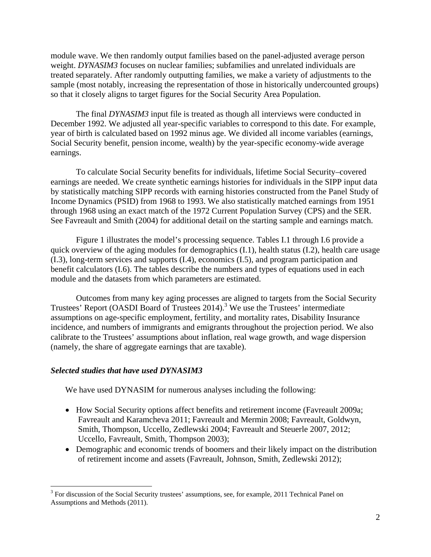module wave. We then randomly output families based on the panel-adjusted average person weight. *DYNASIM3* focuses on nuclear families; subfamilies and unrelated individuals are treated separately. After randomly outputting families, we make a variety of adjustments to the sample (most notably, increasing the representation of those in historically undercounted groups) so that it closely aligns to target figures for the Social Security Area Population.

The final *DYNASIM3* input file is treated as though all interviews were conducted in December 1992. We adjusted all year-specific variables to correspond to this date. For example, year of birth is calculated based on 1992 minus age. We divided all income variables (earnings, Social Security benefit, pension income, wealth) by the year-specific economy-wide average earnings.

To calculate Social Security benefits for individuals, lifetime Social Security–covered earnings are needed. We create synthetic earnings histories for individuals in the SIPP input data by statistically matching SIPP records with earning histories constructed from the Panel Study of Income Dynamics (PSID) from 1968 to 1993. We also statistically matched earnings from 1951 through 1968 using an exact match of the 1972 Current Population Survey (CPS) and the SER. See Favreault and Smith (2004) for additional detail on the starting sample and earnings match.

Figure 1 illustrates the model's processing sequence. Tables I.1 through I.6 provide a quick overview of the aging modules for demographics (I.1), health status (I.2), health care usage (I.3), long-term services and supports (I.4), economics (I.5), and program participation and benefit calculators (I.6). The tables describe the numbers and types of equations used in each module and the datasets from which parameters are estimated.

Outcomes from many key aging processes are aligned to targets from the Social Security Trustees' Report (OASDI Board of Trustees 2014).<sup>3</sup> We use the Trustees' intermediate assumptions on age-specific employment, fertility, and mortality rates, Disability Insurance incidence, and numbers of immigrants and emigrants throughout the projection period. We also calibrate to the Trustees' assumptions about inflation, real wage growth, and wage dispersion (namely, the share of aggregate earnings that are taxable).

#### *Selected studies that have used DYNASIM3*

1

We have used DYNASIM for numerous analyses including the following:

- How Social Security options affect benefits and retirement income (Favreault 2009a; Favreault and Karamcheva 2011; Favreault and Mermin 2008; Favreault, Goldwyn, Smith, Thompson, Uccello, Zedlewski 2004; Favreault and Steuerle 2007, 2012; Uccello, Favreault, Smith, Thompson 2003);
- Demographic and economic trends of boomers and their likely impact on the distribution of retirement income and assets (Favreault, Johnson, Smith, Zedlewski 2012);

<sup>&</sup>lt;sup>3</sup> For discussion of the Social Security trustees' assumptions, see, for example, 2011 Technical Panel on Assumptions and Methods (2011).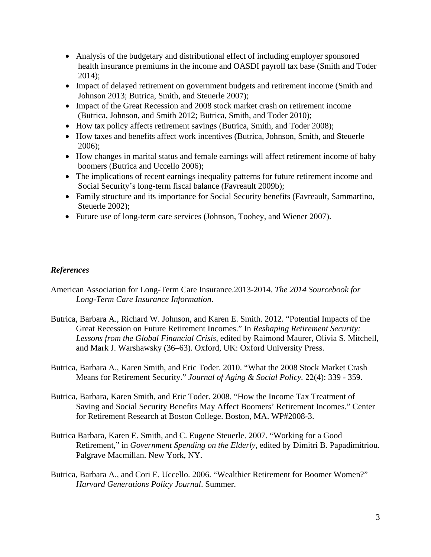- Analysis of the budgetary and distributional effect of including employer sponsored health insurance premiums in the income and OASDI payroll tax base (Smith and Toder 2014);
- Impact of delayed retirement on government budgets and retirement income (Smith and Johnson 2013; Butrica, Smith, and Steuerle 2007);
- Impact of the Great Recession and 2008 stock market crash on retirement income (Butrica, Johnson, and Smith 2012; Butrica, Smith, and Toder 2010);
- How tax policy affects retirement savings (Butrica, Smith, and Toder 2008);
- How taxes and benefits affect work incentives (Butrica, Johnson, Smith, and Steuerle 2006);
- How changes in marital status and female earnings will affect retirement income of baby boomers (Butrica and Uccello 2006);
- The implications of recent earnings inequality patterns for future retirement income and Social Security's long-term fiscal balance (Favreault 2009b);
- Family structure and its importance for Social Security benefits (Favreault, Sammartino, Steuerle 2002);
- Future use of long-term care services (Johnson, Toohey, and Wiener 2007).

#### *References*

- American Association for Long-Term Care Insurance.2013-2014. *The 2014 Sourcebook for Long-Term Care Insurance Information*.
- Butrica, Barbara A., Richard W. Johnson, and Karen E. Smith. 2012. "Potential Impacts of the Great Recession on Future Retirement Incomes." In *Reshaping Retirement Security: Lessons from the Global Financial Crisis*, edited by Raimond Maurer, Olivia S. Mitchell, and Mark J. Warshawsky (36–63). Oxford, UK: Oxford University Press.
- Butrica, Barbara A., Karen Smith, and Eric Toder. 2010. "What the 2008 Stock Market Crash Means for Retirement Security." *Journal of Aging & Social Policy.* 22(4): 339 - 359.
- Butrica, Barbara, Karen Smith, and Eric Toder. 2008. "How the Income Tax Treatment of Saving and Social Security Benefits May Affect Boomers' Retirement Incomes." Center for Retirement Research at Boston College. Boston, MA. WP#2008-3.
- Butrica Barbara, Karen E. Smith, and C. Eugene Steuerle. 2007. "Working for a Good Retirement," in *Government Spending on the Elderly,* edited by Dimitri B. Papadimitriou. Palgrave Macmillan. New York, NY.
- Butrica, Barbara A., and Cori E. Uccello. 2006. "Wealthier Retirement for Boomer Women?" *Harvard Generations Policy Journal*. Summer.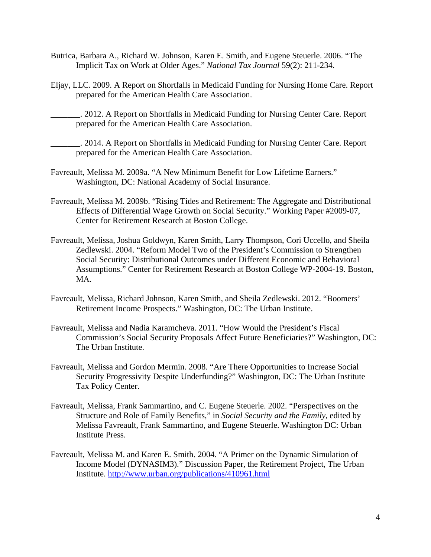- Butrica, Barbara A., Richard W. Johnson, Karen E. Smith, and Eugene Steuerle. 2006. "The Implicit Tax on Work at Older Ages." *National Tax Journal* 59(2): 211-234.
- Eljay, LLC. 2009. A Report on Shortfalls in Medicaid Funding for Nursing Home Care. Report prepared for the American Health Care Association.

\_\_\_\_\_\_\_. 2012. A Report on Shortfalls in Medicaid Funding for Nursing Center Care. Report prepared for the American Health Care Association.

\_\_\_\_\_\_\_. 2014. A Report on Shortfalls in Medicaid Funding for Nursing Center Care. Report prepared for the American Health Care Association.

- Favreault, Melissa M. 2009a. "A New Minimum Benefit for Low Lifetime Earners." Washington, DC: National Academy of Social Insurance.
- Favreault, Melissa M. 2009b. "Rising Tides and Retirement: The Aggregate and Distributional Effects of Differential Wage Growth on Social Security." Working Paper #2009-07, Center for Retirement Research at Boston College.
- Favreault, Melissa, Joshua Goldwyn, Karen Smith, Larry Thompson, Cori Uccello, and Sheila Zedlewski. 2004. "Reform Model Two of the President's Commission to Strengthen Social Security: Distributional Outcomes under Different Economic and Behavioral Assumptions." Center for Retirement Research at Boston College WP-2004-19. Boston, MA.
- Favreault, Melissa, Richard Johnson, Karen Smith, and Sheila Zedlewski. 2012. "Boomers' Retirement Income Prospects." Washington, DC: The Urban Institute.
- Favreault, Melissa and Nadia Karamcheva. 2011. "How Would the President's Fiscal Commission's Social Security Proposals Affect Future Beneficiaries?" Washington, DC: The Urban Institute.
- Favreault, Melissa and Gordon Mermin. 2008. "Are There Opportunities to Increase Social Security Progressivity Despite Underfunding?" Washington, DC: The Urban Institute Tax Policy Center.
- Favreault, Melissa, Frank Sammartino, and C. Eugene Steuerle. 2002. "Perspectives on the Structure and Role of Family Benefits," in *Social Security and the Family*, edited by Melissa Favreault, Frank Sammartino, and Eugene Steuerle. Washington DC: Urban Institute Press.
- Favreault, Melissa M. and Karen E. Smith. 2004. "A Primer on the Dynamic Simulation of Income Model (DYNASIM3)." Discussion Paper, the Retirement Project, The Urban Institute. http://www.urban.org/publications/410961.html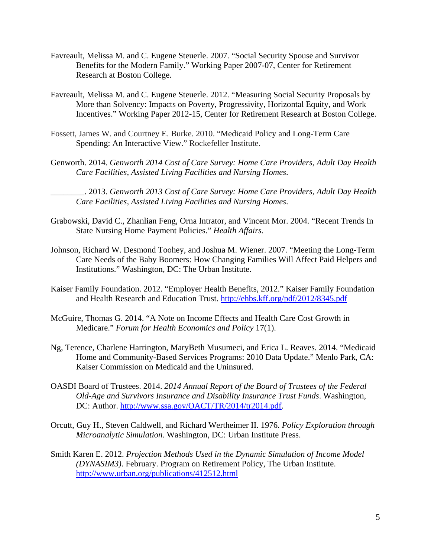- Favreault, Melissa M. and C. Eugene Steuerle. 2007. "Social Security Spouse and Survivor Benefits for the Modern Family." Working Paper 2007-07, Center for Retirement Research at Boston College.
- Favreault, Melissa M. and C. Eugene Steuerle. 2012. "Measuring Social Security Proposals by More than Solvency: Impacts on Poverty, Progressivity, Horizontal Equity, and Work Incentives." Working Paper 2012-15, Center for Retirement Research at Boston College.
- Fossett, James W. and Courtney E. Burke. 2010. "Medicaid Policy and Long-Term Care Spending: An Interactive View." Rockefeller Institute.
- Genworth. 2014. *Genworth 2014 Cost of Care Survey: Home Care Providers, Adult Day Health Care Facilities, Assisted Living Facilities and Nursing Homes*.

\_\_\_\_\_\_\_\_. 2013. *Genworth 2013 Cost of Care Survey: Home Care Providers, Adult Day Health Care Facilities, Assisted Living Facilities and Nursing Homes*.

- Grabowski, David C., Zhanlian Feng, Orna Intrator, and Vincent Mor. 2004. "Recent Trends In State Nursing Home Payment Policies." *Health Affairs.*
- Johnson, Richard W. Desmond Toohey, and Joshua M. Wiener. 2007. "Meeting the Long-Term Care Needs of the Baby Boomers: How Changing Families Will Affect Paid Helpers and Institutions." Washington, DC: The Urban Institute.
- Kaiser Family Foundation. 2012. "Employer Health Benefits, 2012." Kaiser Family Foundation and Health Research and Education Trust. http://ehbs.kff.org/pdf/2012/8345.pdf
- McGuire, Thomas G. 2014. "A Note on Income Effects and Health Care Cost Growth in Medicare." *Forum for Health Economics and Policy* 17(1).
- Ng, Terence, Charlene Harrington, MaryBeth Musumeci, and Erica L. Reaves. 2014. "Medicaid Home and Community-Based Services Programs: 2010 Data Update." Menlo Park, CA: Kaiser Commission on Medicaid and the Uninsured.
- OASDI Board of Trustees. 2014. *2014 Annual Report of the Board of Trustees of the Federal Old-Age and Survivors Insurance and Disability Insurance Trust Funds*. Washington, DC: Author. http://www.ssa.gov/OACT/TR/2014/tr2014.pdf.
- Orcutt, Guy H., Steven Caldwell, and Richard Wertheimer II. 1976. *Policy Exploration through Microanalytic Simulation*. Washington, DC: Urban Institute Press.
- Smith Karen E. 2012. *Projection Methods Used in the Dynamic Simulation of Income Model (DYNASIM3)*. February. Program on Retirement Policy, The Urban Institute. http://www.urban.org/publications/412512.html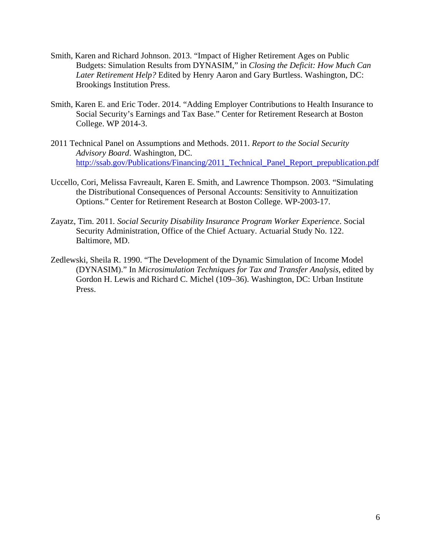- Smith, Karen and Richard Johnson. 2013. "Impact of Higher Retirement Ages on Public Budgets: Simulation Results from DYNASIM," in *Closing the Deficit: How Much Can Later Retirement Help?* Edited by Henry Aaron and Gary Burtless. Washington, DC: Brookings Institution Press.
- Smith, Karen E. and Eric Toder. 2014. "Adding Employer Contributions to Health Insurance to Social Security's Earnings and Tax Base." Center for Retirement Research at Boston College. WP 2014-3.
- 2011 Technical Panel on Assumptions and Methods. 2011. *Report to the Social Security Advisory Board*. Washington, DC. http://ssab.gov/Publications/Financing/2011\_Technical\_Panel\_Report\_prepublication.pdf
- Uccello, Cori, Melissa Favreault, Karen E. Smith, and Lawrence Thompson. 2003. "Simulating the Distributional Consequences of Personal Accounts: Sensitivity to Annuitization Options." Center for Retirement Research at Boston College. WP-2003-17.
- Zayatz, Tim. 2011*. Social Security Disability Insurance Program Worker Experience*. Social Security Administration, Office of the Chief Actuary. Actuarial Study No. 122. Baltimore, MD.
- Zedlewski, Sheila R. 1990. "The Development of the Dynamic Simulation of Income Model (DYNASIM)." In *Microsimulation Techniques for Tax and Transfer Analysis*, edited by Gordon H. Lewis and Richard C. Michel (109–36). Washington, DC: Urban Institute Press.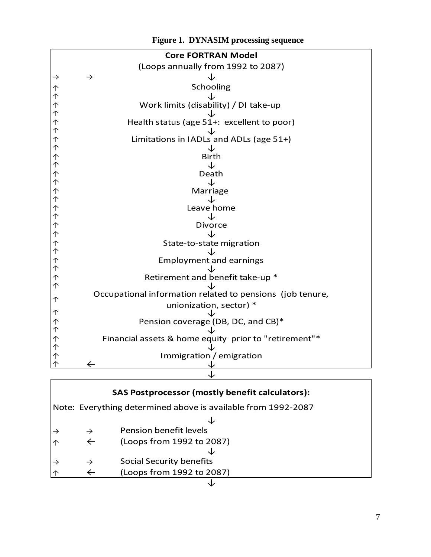|                               | <b>Core FORTRAN Model</b>                                 |
|-------------------------------|-----------------------------------------------------------|
|                               | (Loops annually from 1992 to 2087)                        |
| $\rightarrow$                 | $\rightarrow$                                             |
|                               | Schooling                                                 |
|                               |                                                           |
| <b>イヤイトイトイトイトイトイトイトイトイトイト</b> | Work limits (disability) / DI take-up                     |
|                               |                                                           |
|                               | Health status (age 51+: excellent to poor)                |
|                               |                                                           |
|                               | Limitations in IADLs and ADLs (age 51+)                   |
|                               |                                                           |
|                               | <b>Birth</b><br>↓                                         |
|                               | Death                                                     |
|                               | ↓                                                         |
|                               | Marriage                                                  |
|                               | ۰Ŀ                                                        |
|                               | Leave home                                                |
|                               | Jż                                                        |
|                               | <b>Divorce</b>                                            |
|                               |                                                           |
|                               | State-to-state migration                                  |
|                               |                                                           |
|                               | <b>Employment and earnings</b>                            |
|                               | Retirement and benefit take-up *                          |
|                               |                                                           |
|                               | Occupational information related to pensions (job tenure, |
| $\uparrow$                    | unionization, sector) *                                   |
|                               |                                                           |
|                               | Pension coverage (DB, DC, and CB)*                        |
|                               |                                                           |
|                               | Financial assets & home equity prior to "retirement"*     |
|                               |                                                           |
| <b>イイトイトイイ</b>                | Immigration / emigration                                  |
|                               | $\leftarrow$                                              |
|                               |                                                           |

# Note: Everything determined above is available from 1992‐2087 ↓  $\rightarrow$   $\rightarrow$  Pension benefit levels ↑ ← (Loops from 1992 to 2087) ↓  $\rightarrow$   $\rightarrow$  Social Security benefits ↑ ← (Loops from 1992 to 2087) ↓ **SAS Postprocessor (mostly benefit calculators):**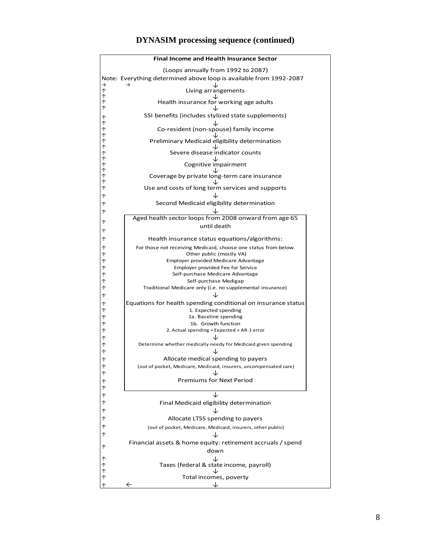

#### **DYNASIM processing sequence (continued)**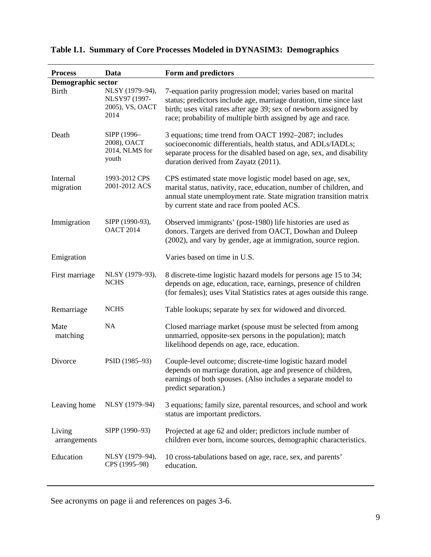| <b>Process</b>         | Data                                                        | Form and predictors                                                                                                                                                                                                                                                     |
|------------------------|-------------------------------------------------------------|-------------------------------------------------------------------------------------------------------------------------------------------------------------------------------------------------------------------------------------------------------------------------|
| Demographic sector     |                                                             |                                                                                                                                                                                                                                                                         |
| <b>Birth</b>           | NLSY (1979-94),<br>NLSY97 (1997-<br>2005), VS, OACT<br>2014 | 7-equation parity progression model; varies based on marital<br>status; predictors include age, marriage duration, time since last<br>birth; uses vital rates after age 39; sex of newborn assigned by<br>race; probability of multiple birth assigned by age and race. |
| Death                  | SIPP (1996-<br>2008), OACT<br>2014, NLMS for<br>youth       | 3 equations; time trend from OACT 1992-2087; includes<br>socioeconomic differentials, health status, and ADLs/IADLs;<br>separate process for the disabled based on age, sex, and disability<br>duration derived from Zayatz (2011).                                     |
| Internal<br>migration  | 1993-2012 CPS<br>2001-2012 ACS                              | CPS estimated state move logistic model based on age, sex,<br>marital status, nativity, race, education, number of children, and<br>annual state unemployment rate. State migration transition matrix<br>by current state and race from pooled ACS.                     |
| Immigration            | SIPP (1990-93),<br><b>OACT 2014</b>                         | Observed immigrants' (post-1980) life histories are used as<br>donors. Targets are derived from OACT, Dowhan and Duleep<br>(2002), and vary by gender, age at immigration, source region.                                                                               |
| Emigration             |                                                             | Varies based on time in U.S.                                                                                                                                                                                                                                            |
| First marriage         | NLSY (1979-93),<br><b>NCHS</b>                              | 8 discrete-time logistic hazard models for persons age 15 to 34;<br>depends on age, education, race, earnings, presence of children<br>(for females); uses Vital Statistics rates at ages outside this range.                                                           |
| Remarriage             | <b>NCHS</b>                                                 | Table lookups; separate by sex for widowed and divorced.                                                                                                                                                                                                                |
| Mate<br>matching       | NA                                                          | Closed marriage market (spouse must be selected from among<br>unmarried, opposite-sex persons in the population); match<br>likelihood depends on age, race, education.                                                                                                  |
| Divorce                | PSID (1985-93)                                              | Couple-level outcome; discrete-time logistic hazard model<br>depends on marriage duration, age and presence of children,<br>earnings of both spouses. (Also includes a separate model to<br>predict separation.)                                                        |
| Leaving home           | NLSY (1979-94)                                              | 3 equations; family size, parental resources, and school and work<br>status are important predictors.                                                                                                                                                                   |
| Living<br>arrangements | SIPP (1990-93)                                              | Projected at age 62 and older; predictors include number of<br>children ever born, income sources, demographic characteristics.                                                                                                                                         |
| Education              | NLSY (1979-94),<br>CPS (1995-98)                            | 10 cross-tabulations based on age, race, sex, and parents'<br>education.                                                                                                                                                                                                |

## **Table I.1. Summary of Core Processes Modeled in DYNASIM3: Demographics**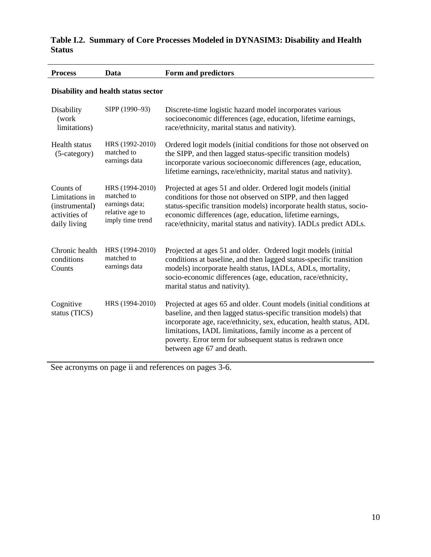### **Table I.2. Summary of Core Processes Modeled in DYNASIM3: Disability and Health Status**

| <b>Process</b>                                                                 | Data                                                                                   | Form and predictors                                                                                                                                                                                                                                                                                                                                                       |  |
|--------------------------------------------------------------------------------|----------------------------------------------------------------------------------------|---------------------------------------------------------------------------------------------------------------------------------------------------------------------------------------------------------------------------------------------------------------------------------------------------------------------------------------------------------------------------|--|
| Disability and health status sector                                            |                                                                                        |                                                                                                                                                                                                                                                                                                                                                                           |  |
| Disability<br>(work<br>limitations)                                            | SIPP (1990-93)                                                                         | Discrete-time logistic hazard model incorporates various<br>socioeconomic differences (age, education, lifetime earnings,<br>race/ethnicity, marital status and nativity).                                                                                                                                                                                                |  |
| Health status<br>$(5-category)$                                                | HRS (1992-2010)<br>matched to<br>earnings data                                         | Ordered logit models (initial conditions for those not observed on<br>the SIPP, and then lagged status-specific transition models)<br>incorporate various socioeconomic differences (age, education,<br>lifetime earnings, race/ethnicity, marital status and nativity).                                                                                                  |  |
| Counts of<br>Limitations in<br>(instrumental)<br>activities of<br>daily living | HRS (1994-2010)<br>matched to<br>earnings data;<br>relative age to<br>imply time trend | Projected at ages 51 and older. Ordered logit models (initial<br>conditions for those not observed on SIPP, and then lagged<br>status-specific transition models) incorporate health status, socio-<br>economic differences (age, education, lifetime earnings,<br>race/ethnicity, marital status and nativity). IADLs predict ADLs.                                      |  |
| Chronic health<br>conditions<br>Counts                                         | HRS (1994-2010)<br>matched to<br>earnings data                                         | Projected at ages 51 and older. Ordered logit models (initial<br>conditions at baseline, and then lagged status-specific transition<br>models) incorporate health status, IADLs, ADLs, mortality,<br>socio-economic differences (age, education, race/ethnicity,<br>marital status and nativity).                                                                         |  |
| Cognitive<br>status (TICS)                                                     | HRS (1994-2010)                                                                        | Projected at ages 65 and older. Count models (initial conditions at<br>baseline, and then lagged status-specific transition models) that<br>incorporate age, race/ethnicity, sex, education, health status, ADL<br>limitations, IADL limitations, family income as a percent of<br>poverty. Error term for subsequent status is redrawn once<br>between age 67 and death. |  |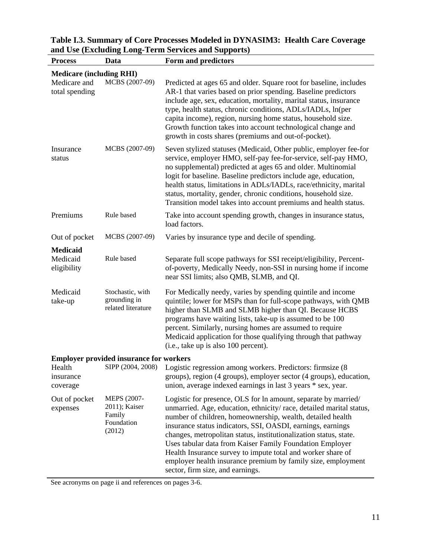| <b>Process</b>                  | Data                                                           | Form and predictors                                                                                                                                                                                                                                                                                                                                                                                                                                                                                                                                                    |
|---------------------------------|----------------------------------------------------------------|------------------------------------------------------------------------------------------------------------------------------------------------------------------------------------------------------------------------------------------------------------------------------------------------------------------------------------------------------------------------------------------------------------------------------------------------------------------------------------------------------------------------------------------------------------------------|
| <b>Medicare (including RHI)</b> |                                                                |                                                                                                                                                                                                                                                                                                                                                                                                                                                                                                                                                                        |
| Medicare and<br>total spending  | MCBS (2007-09)                                                 | Predicted at ages 65 and older. Square root for baseline, includes<br>AR-1 that varies based on prior spending. Baseline predictors<br>include age, sex, education, mortality, marital status, insurance<br>type, health status, chronic conditions, ADLs/IADLs, ln(per<br>capita income), region, nursing home status, household size.<br>Growth function takes into account technological change and<br>growth in costs shares (premiums and out-of-pocket).                                                                                                         |
| Insurance<br>status             | MCBS (2007-09)                                                 | Seven stylized statuses (Medicaid, Other public, employer fee-for<br>service, employer HMO, self-pay fee-for-service, self-pay HMO,<br>no supplemental) predicted at ages 65 and older. Multinomial<br>logit for baseline. Baseline predictors include age, education,<br>health status, limitations in ADLs/IADLs, race/ethnicity, marital<br>status, mortality, gender, chronic conditions, household size.<br>Transition model takes into account premiums and health status.                                                                                       |
| Premiums                        | Rule based                                                     | Take into account spending growth, changes in insurance status,<br>load factors.                                                                                                                                                                                                                                                                                                                                                                                                                                                                                       |
| Out of pocket                   | MCBS (2007-09)                                                 | Varies by insurance type and decile of spending.                                                                                                                                                                                                                                                                                                                                                                                                                                                                                                                       |
| <b>Medicaid</b>                 |                                                                |                                                                                                                                                                                                                                                                                                                                                                                                                                                                                                                                                                        |
| Medicaid<br>eligibility         | Rule based                                                     | Separate full scope pathways for SSI receipt/eligibility, Percent-<br>of-poverty, Medically Needy, non-SSI in nursing home if income<br>near SSI limits; also QMB, SLMB, and QI.                                                                                                                                                                                                                                                                                                                                                                                       |
| Medicaid<br>take-up             | Stochastic, with<br>grounding in<br>related literature         | For Medically needy, varies by spending quintile and income<br>quintile; lower for MSPs than for full-scope pathways, with QMB<br>higher than SLMB and SLMB higher than QI. Because HCBS<br>programs have waiting lists, take-up is assumed to be 100<br>percent. Similarly, nursing homes are assumed to require<br>Medicaid application for those qualifying through that pathway<br>(i.e., take up is also 100 percent).                                                                                                                                            |
|                                 | <b>Employer provided insurance for workers</b>                 |                                                                                                                                                                                                                                                                                                                                                                                                                                                                                                                                                                        |
| Health<br>insurance<br>coverage |                                                                | SIPP (2004, 2008) Logistic regression among workers. Predictors: firmsize (8)<br>groups), region (4 groups), employer sector (4 groups), education,<br>union, average indexed earnings in last 3 years * sex, year.                                                                                                                                                                                                                                                                                                                                                    |
| Out of pocket<br>expenses       | MEPS (2007-<br>2011); Kaiser<br>Family<br>Foundation<br>(2012) | Logistic for presence, OLS for ln amount, separate by married/<br>unmarried. Age, education, ethnicity/race, detailed marital status,<br>number of children, homeownership, wealth, detailed health<br>insurance status indicators, SSI, OASDI, earnings, earnings<br>changes, metropolitan status, institutionalization status, state.<br>Uses tabular data from Kaiser Family Foundation Employer<br>Health Insurance survey to impute total and worker share of<br>employer health insurance premium by family size, employment<br>sector, firm size, and earnings. |

# **Table I.3. Summary of Core Processes Modeled in DYNASIM3: Health Care Coverage and Use (Excluding Long-Term Services and Supports)**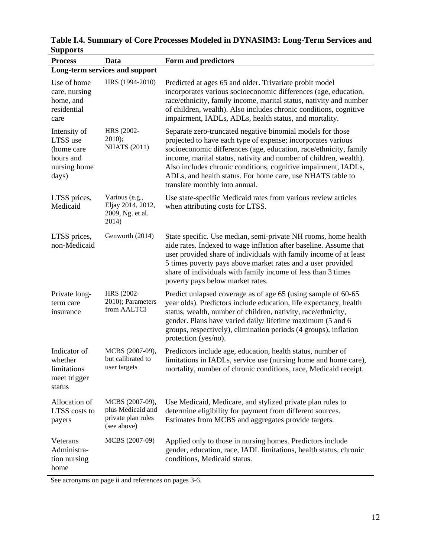| <b>Process</b>                                                               | Data                                                                      | Form and predictors                                                                                                                                                                                                                                                                                                                                                                                                                    |  |  |
|------------------------------------------------------------------------------|---------------------------------------------------------------------------|----------------------------------------------------------------------------------------------------------------------------------------------------------------------------------------------------------------------------------------------------------------------------------------------------------------------------------------------------------------------------------------------------------------------------------------|--|--|
|                                                                              | Long-term services and support                                            |                                                                                                                                                                                                                                                                                                                                                                                                                                        |  |  |
| Use of home<br>care, nursing<br>home, and<br>residential<br>care             | HRS (1994-2010)                                                           | Predicted at ages 65 and older. Trivariate probit model<br>incorporates various socioeconomic differences (age, education,<br>race/ethnicity, family income, marital status, nativity and number<br>of children, wealth). Also includes chronic conditions, cognitive<br>impairment, IADLs, ADLs, health status, and mortality.                                                                                                        |  |  |
| Intensity of<br>LTSS use<br>(home care<br>hours and<br>nursing home<br>days) | HRS (2002-<br>$2010$ ;<br><b>NHATS</b> (2011)                             | Separate zero-truncated negative binomial models for those<br>projected to have each type of expense; incorporates various<br>socioeconomic differences (age, education, race/ethnicity, family<br>income, marital status, nativity and number of children, wealth).<br>Also includes chronic conditions, cognitive impairment, IADLs,<br>ADLs, and health status. For home care, use NHATS table to<br>translate monthly into annual. |  |  |
| LTSS prices,<br>Medicaid                                                     | Various (e.g.,<br>Eljay 2014, 2012,<br>2009, Ng. et al.<br>2014)          | Use state-specific Medicaid rates from various review articles<br>when attributing costs for LTSS.                                                                                                                                                                                                                                                                                                                                     |  |  |
| LTSS prices,<br>non-Medicaid                                                 | Genworth (2014)                                                           | State specific. Use median, semi-private NH rooms, home health<br>aide rates. Indexed to wage inflation after baseline. Assume that<br>user provided share of individuals with family income of at least<br>5 times poverty pays above market rates and a user provided<br>share of individuals with family income of less than 3 times<br>poverty pays below market rates.                                                            |  |  |
| Private long-<br>term care<br>insurance                                      | HRS (2002-<br>2010); Parameters<br>from AALTCI                            | Predict unlapsed coverage as of age 65 (using sample of 60-65)<br>year olds). Predictors include education, life expectancy, health<br>status, wealth, number of children, nativity, race/ethnicity,<br>gender. Plans have varied daily/lifetime maximum (5 and 6<br>groups, respectively), elimination periods (4 groups), inflation<br>protection (yes/no).                                                                          |  |  |
| Indicator of<br>whether<br>limitations<br>meet trigger<br>status             | MCBS (2007-09),<br>but calibrated to<br>user targets                      | Predictors include age, education, health status, number of<br>limitations in IADLs, service use (nursing home and home care),<br>mortality, number of chronic conditions, race, Medicaid receipt.                                                                                                                                                                                                                                     |  |  |
| Allocation of<br>LTSS costs to<br>payers                                     | MCBS (2007-09),<br>plus Medicaid and<br>private plan rules<br>(see above) | Use Medicaid, Medicare, and stylized private plan rules to<br>determine eligibility for payment from different sources.<br>Estimates from MCBS and aggregates provide targets.                                                                                                                                                                                                                                                         |  |  |
| Veterans<br>Administra-<br>tion nursing<br>home                              | MCBS (2007-09)                                                            | Applied only to those in nursing homes. Predictors include<br>gender, education, race, IADL limitations, health status, chronic<br>conditions, Medicaid status.                                                                                                                                                                                                                                                                        |  |  |

**Table I.4. Summary of Core Processes Modeled in DYNASIM3: Long-Term Services and Supports**   $\overline{\phantom{0}}$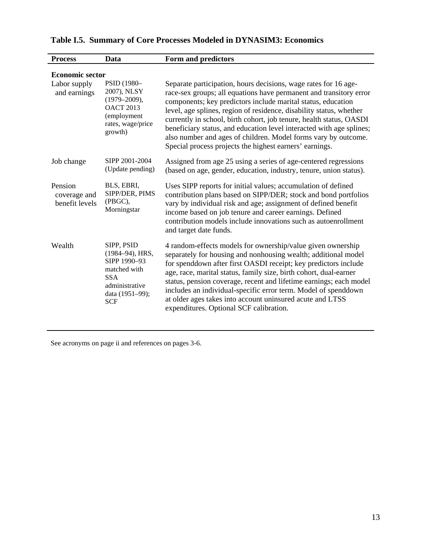| <b>Process</b>                            | Data                                                                                                                           | Form and predictors                                                                                                                                                                                                                                                                                                                                                                                                                                                                                                                                      |  |
|-------------------------------------------|--------------------------------------------------------------------------------------------------------------------------------|----------------------------------------------------------------------------------------------------------------------------------------------------------------------------------------------------------------------------------------------------------------------------------------------------------------------------------------------------------------------------------------------------------------------------------------------------------------------------------------------------------------------------------------------------------|--|
| <b>Economic sector</b>                    |                                                                                                                                |                                                                                                                                                                                                                                                                                                                                                                                                                                                                                                                                                          |  |
| Labor supply<br>and earnings              | PSID (1980-<br>2007), NLSY<br>$(1979 - 2009),$<br><b>OACT 2013</b><br>(employment<br>rates, wage/price<br>growth)              | Separate participation, hours decisions, wage rates for 16 age-<br>race-sex groups; all equations have permanent and transitory error<br>components; key predictors include marital status, education<br>level, age splines, region of residence, disability status, whether<br>currently in school, birth cohort, job tenure, health status, OASDI<br>beneficiary status, and education level interacted with age splines;<br>also number and ages of children. Model forms vary by outcome.<br>Special process projects the highest earners' earnings. |  |
| Job change                                | SIPP 2001-2004<br>(Update pending)                                                                                             | Assigned from age 25 using a series of age-centered regressions<br>(based on age, gender, education, industry, tenure, union status).                                                                                                                                                                                                                                                                                                                                                                                                                    |  |
| Pension<br>coverage and<br>benefit levels | BLS, EBRI,<br>SIPP/DER, PIMS<br>(PBGC),<br>Morningstar                                                                         | Uses SIPP reports for initial values; accumulation of defined<br>contribution plans based on SIPP/DER; stock and bond portfolios<br>vary by individual risk and age; assignment of defined benefit<br>income based on job tenure and career earnings. Defined<br>contribution models include innovations such as autoenrollment<br>and target date funds.                                                                                                                                                                                                |  |
| Wealth                                    | SIPP, PSID<br>(1984-94), HRS,<br>SIPP 1990-93<br>matched with<br><b>SSA</b><br>administrative<br>data (1951-99);<br><b>SCF</b> | 4 random-effects models for ownership/value given ownership<br>separately for housing and nonhousing wealth; additional model<br>for spenddown after first OASDI receipt; key predictors include<br>age, race, marital status, family size, birth cohort, dual-earner<br>status, pension coverage, recent and lifetime earnings; each model<br>includes an individual-specific error term. Model of spenddown<br>at older ages takes into account uninsured acute and LTSS<br>expenditures. Optional SCF calibration.                                    |  |

# **Table I.5. Summary of Core Processes Modeled in DYNASIM3: Economics**